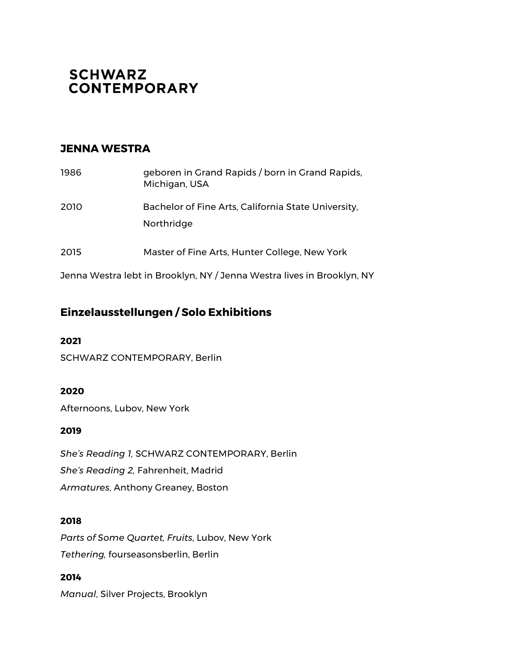# **SCHWARZ CONTEMPORARY**

## **JENNA WESTRA**

| 1986 | geboren in Grand Rapids / born in Grand Rapids,<br>Michigan, USA  |
|------|-------------------------------------------------------------------|
| 2010 | Bachelor of Fine Arts, California State University,<br>Northridge |
| 2015 | Master of Fine Arts, Hunter College, New York                     |

Jenna Westra lebt in Brooklyn, NY / Jenna Westra lives in Brooklyn, NY

# **Einzelausstellungen / Solo Exhibitions**

#### **2021**

SCHWARZ CONTEMPORARY, Berlin

### **2020**

Afternoons, Lubov, New York

#### **2019**

*She's Reading 1,* SCHWARZ CONTEMPORARY, Berlin *She's Reading 2,* Fahrenheit, Madrid *Armatures*, Anthony Greaney, Boston

#### **2018**

*Parts of Some Quartet, Fruits*, Lubov, New York *Tethering,* fourseasonsberlin, Berlin

**2014** *Manual*, Silver Projects, Brooklyn